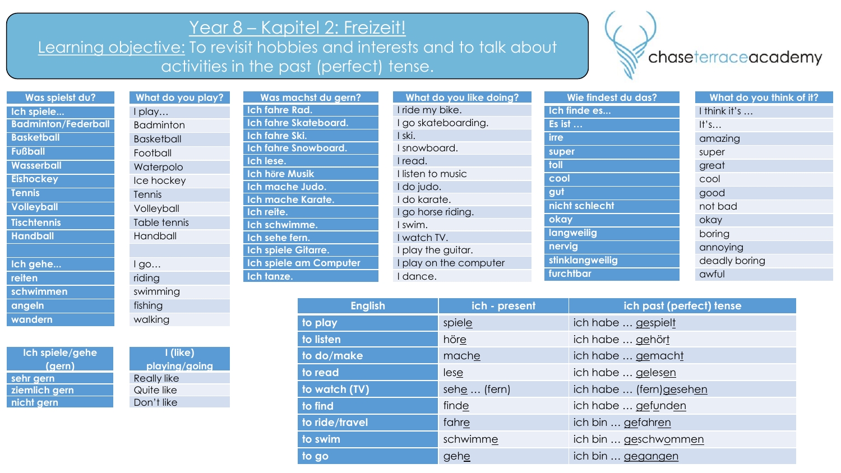## Year 8 – Kapitel 2: Freizeit!

Learning objective: To revisit hobbies and interests and to talk about activities in the past (perfect) tense.

**angeln fishing wandern** walking

**sehr gern** Really like **ziemlich gern** Quite like **nicht gern** Don't like

**I (like) playing/going**

**Ich spiele/gehe (gern)**

## chaseterraceacademy

| Was spielst du?            | What do you play? | Was machst du gern?    | What do you like doing? | Wie findest du das? | What do you think of it? |
|----------------------------|-------------------|------------------------|-------------------------|---------------------|--------------------------|
| Ich spiele                 | I play            | Ich fahre Rad.         | I ride my bike.         | Ich finde es        | I think it's             |
| <b>Badminton/Federball</b> | <b>Badminton</b>  | Ich fahre Skateboard.  | I go skateboarding.     | Es ist              | It's                     |
| <b>Basketball</b>          | <b>Basketball</b> | Ich fahre Ski.         | I ski.                  | <b>irre</b>         | amazing                  |
| <b>Fußball</b>             | Football          | Ich fahre Snowboard.   | I snowboard.            | super               | super                    |
| <b>Wasserball</b>          | Waterpolo         | Ich lese.              | I read.                 | toll                | great                    |
| <b>Eishockey</b>           | Ice hockey        | <b>Ich höre Musik</b>  | I listen to music       | cool                | cool                     |
| <b>Tennis</b>              | Tennis            | Ich mache Judo.        | I do judo.              | gut                 | good                     |
| <b>Volleyball</b>          | Volleyball        | Ich mache Karate.      | I do karate.            | nicht schlecht      | not bad                  |
| <b>Tischtennis</b>         | Table tennis      | Ich reite.             | I go horse riding.      | okay                | okay                     |
| <b>Handball</b>            | Handball          | Ich schwimme.          | I swim.                 | langweilig          | boring                   |
|                            |                   | Ich sehe fern.         | I watch TV.             | nervig              | annoying                 |
|                            |                   | Ich spiele Gitarre.    | I play the guitar.      | stinklangweilig     | deadly boring            |
| Ich gehe                   | lgo               | Ich spiele am Computer | I play on the computer  |                     |                          |
| reiten                     | riding            | Ich tanze.             | I dance.                | furchtbar           | awful                    |
| schwimmen                  | swimming          |                        |                         |                     |                          |

| <b>English</b> | ich - present | ich past (perfect) tense |
|----------------|---------------|--------------------------|
| to play        | spiele        | ich habe  gespielt       |
| to listen      | höre          | ich habe  gehört         |
| to do/make     | mache         | ich habe  gemacht        |
| to read        | lese          | ich habe  gelesen        |
| to watch (TV)  | sehe  (fern)  | ich habe  (fern)gesehen  |
| to find        | finde         | ich habe  gefunden       |
| to ride/travel | fahre         | ich bin  gefahren        |
| to swim        | schwimme      | ich bin  geschwommen     |
| to go          | gehe          | ich bin  gegangen        |